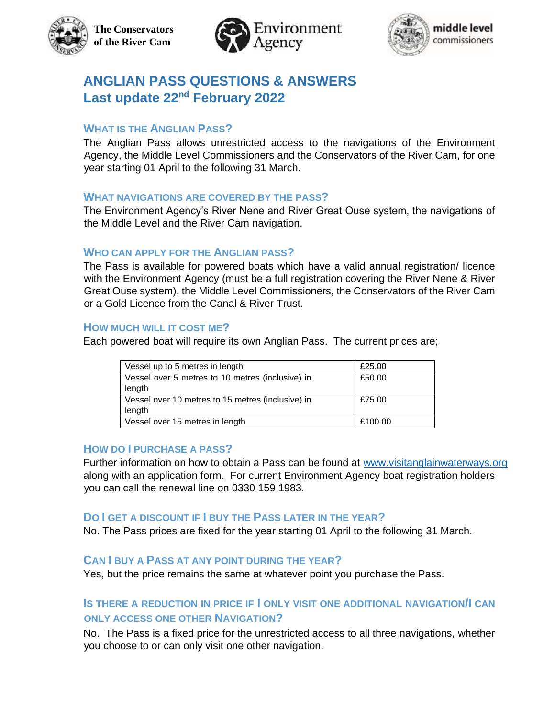





# **ANGLIAN PASS QUESTIONS & ANSWERS Last update 22nd February 2022**

# **WHAT IS THE ANGLIAN PASS?**

The Anglian Pass allows unrestricted access to the navigations of the Environment Agency, the Middle Level Commissioners and the Conservators of the River Cam, for one year starting 01 April to the following 31 March.

### **WHAT NAVIGATIONS ARE COVERED BY THE PASS?**

The Environment Agency's River Nene and River Great Ouse system, the navigations of the Middle Level and the River Cam navigation.

#### **WHO CAN APPLY FOR THE ANGLIAN PASS?**

The Pass is available for powered boats which have a valid annual registration/ licence with the Environment Agency (must be a full registration covering the River Nene & River Great Ouse system), the Middle Level Commissioners, the Conservators of the River Cam or a Gold Licence from the Canal & River Trust.

#### **HOW MUCH WILL IT COST ME?**

Each powered boat will require its own Anglian Pass. The current prices are;

| Vessel up to 5 metres in length                   | £25.00  |
|---------------------------------------------------|---------|
| Vessel over 5 metres to 10 metres (inclusive) in  | £50.00  |
| length                                            |         |
| Vessel over 10 metres to 15 metres (inclusive) in | £75.00  |
| length                                            |         |
| Vessel over 15 metres in length                   | £100.00 |

#### **HOW DO I PURCHASE A PASS?**

Further information on how to obtain a Pass can be found at www.visitanglainwaterways.org along with an application form. For current Environment Agency boat registration holders you can call the renewal line on 0330 159 1983.

### **DO I GET A DISCOUNT IF I BUY THE PASS LATER IN THE YEAR?**

No. The Pass prices are fixed for the year starting 01 April to the following 31 March.

### **CAN I BUY A PASS AT ANY POINT DURING THE YEAR?**

Yes, but the price remains the same at whatever point you purchase the Pass.

# **IS THERE A REDUCTION IN PRICE IF I ONLY VISIT ONE ADDITIONAL NAVIGATION/I CAN ONLY ACCESS ONE OTHER NAVIGATION?**

No. The Pass is a fixed price for the unrestricted access to all three navigations, whether you choose to or can only visit one other navigation.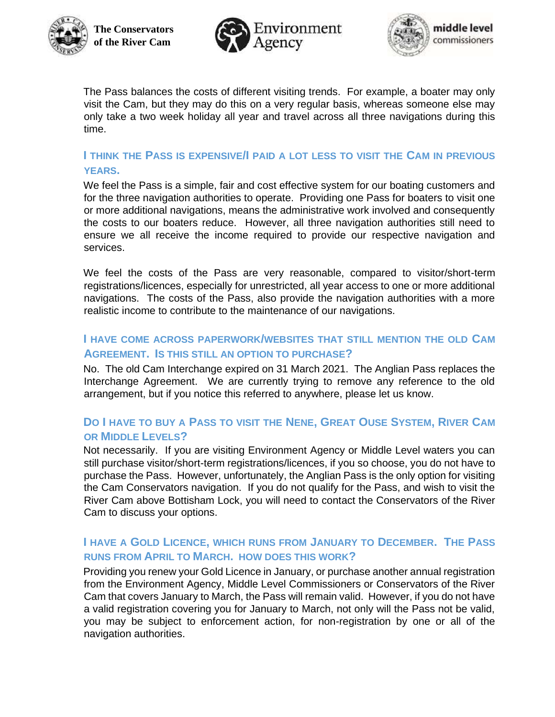





The Pass balances the costs of different visiting trends. For example, a boater may only visit the Cam, but they may do this on a very regular basis, whereas someone else may only take a two week holiday all year and travel across all three navigations during this time.

# **I THINK THE PASS IS EXPENSIVE/I PAID A LOT LESS TO VISIT THE CAM IN PREVIOUS YEARS.**

We feel the Pass is a simple, fair and cost effective system for our boating customers and for the three navigation authorities to operate. Providing one Pass for boaters to visit one or more additional navigations, means the administrative work involved and consequently the costs to our boaters reduce. However, all three navigation authorities still need to ensure we all receive the income required to provide our respective navigation and services.

We feel the costs of the Pass are very reasonable, compared to visitor/short-term registrations/licences, especially for unrestricted, all year access to one or more additional navigations. The costs of the Pass, also provide the navigation authorities with a more realistic income to contribute to the maintenance of our navigations.

# **I HAVE COME ACROSS PAPERWORK/WEBSITES THAT STILL MENTION THE OLD CAM AGREEMENT. IS THIS STILL AN OPTION TO PURCHASE?**

No. The old Cam Interchange expired on 31 March 2021. The Anglian Pass replaces the Interchange Agreement. We are currently trying to remove any reference to the old arrangement, but if you notice this referred to anywhere, please let us know.

# **DO I HAVE TO BUY A PASS TO VISIT THE NENE, GREAT OUSE SYSTEM, RIVER CAM OR MIDDLE LEVELS?**

Not necessarily. If you are visiting Environment Agency or Middle Level waters you can still purchase visitor/short-term registrations/licences, if you so choose, you do not have to purchase the Pass. However, unfortunately, the Anglian Pass is the only option for visiting the Cam Conservators navigation. If you do not qualify for the Pass, and wish to visit the River Cam above Bottisham Lock, you will need to contact the Conservators of the River Cam to discuss your options.

# **I HAVE A GOLD LICENCE, WHICH RUNS FROM JANUARY TO DECEMBER. THE PASS RUNS FROM APRIL TO MARCH. HOW DOES THIS WORK?**

Providing you renew your Gold Licence in January, or purchase another annual registration from the Environment Agency, Middle Level Commissioners or Conservators of the River Cam that covers January to March, the Pass will remain valid. However, if you do not have a valid registration covering you for January to March, not only will the Pass not be valid, you may be subject to enforcement action, for non-registration by one or all of the navigation authorities.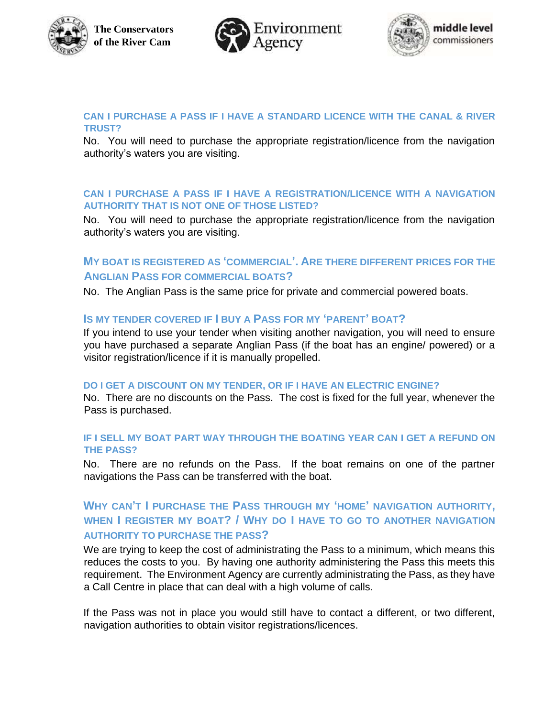





#### **CAN I PURCHASE A PASS IF I HAVE A STANDARD LICENCE WITH THE CANAL & RIVER TRUST?**

No. You will need to purchase the appropriate registration/licence from the navigation authority's waters you are visiting.

#### **CAN I PURCHASE A PASS IF I HAVE A REGISTRATION/LICENCE WITH A NAVIGATION AUTHORITY THAT IS NOT ONE OF THOSE LISTED?**

No. You will need to purchase the appropriate registration/licence from the navigation authority's waters you are visiting.

# **MY BOAT IS REGISTERED AS 'COMMERCIAL'. ARE THERE DIFFERENT PRICES FOR THE ANGLIAN PASS FOR COMMERCIAL BOATS?**

No. The Anglian Pass is the same price for private and commercial powered boats.

### **IS MY TENDER COVERED IF I BUY A PASS FOR MY 'PARENT' BOAT?**

If you intend to use your tender when visiting another navigation, you will need to ensure you have purchased a separate Anglian Pass (if the boat has an engine/ powered) or a visitor registration/licence if it is manually propelled.

#### **DO I GET A DISCOUNT ON MY TENDER, OR IF I HAVE AN ELECTRIC ENGINE?**

No. There are no discounts on the Pass. The cost is fixed for the full year, whenever the Pass is purchased.

#### **IF I SELL MY BOAT PART WAY THROUGH THE BOATING YEAR CAN I GET A REFUND ON THE PASS?**

No. There are no refunds on the Pass. If the boat remains on one of the partner navigations the Pass can be transferred with the boat.

# **WHY CAN'T I PURCHASE THE PASS THROUGH MY 'HOME' NAVIGATION AUTHORITY, WHEN I REGISTER MY BOAT? / WHY DO I HAVE TO GO TO ANOTHER NAVIGATION AUTHORITY TO PURCHASE THE PASS?**

We are trying to keep the cost of administrating the Pass to a minimum, which means this reduces the costs to you. By having one authority administering the Pass this meets this requirement. The Environment Agency are currently administrating the Pass, as they have a Call Centre in place that can deal with a high volume of calls.

If the Pass was not in place you would still have to contact a different, or two different, navigation authorities to obtain visitor registrations/licences.